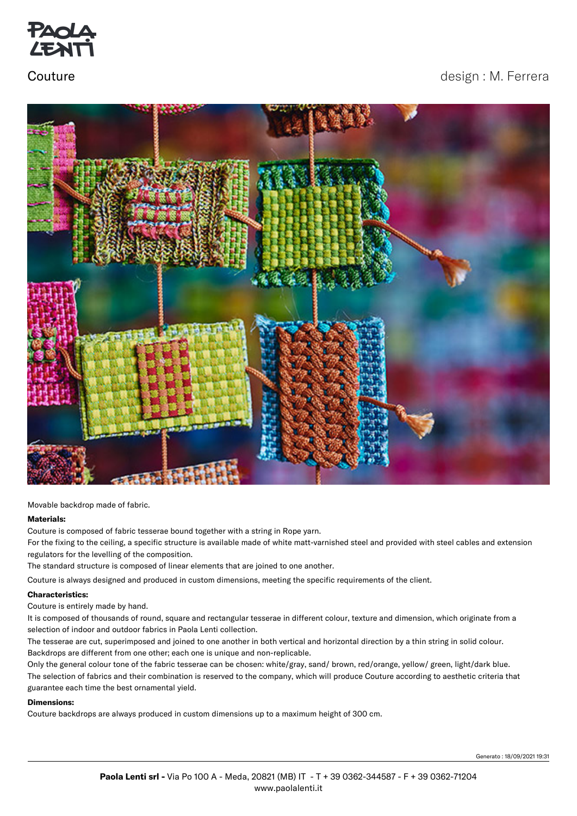

# Couture **Couture** design : M. Ferrera



Movable backdrop made of fabric.

### **Materials:**

Couture is composed of fabric tesserae bound together with a string in Rope yarn.

For the fixing to the ceiling, a specific structure is available made of white matt-varnished steel and provided with steel cables and extension regulators for the levelling of the composition.

The standard structure is composed of linear elements that are joined to one another.

Couture is always designed and produced in custom dimensions, meeting the specific requirements of the client.

### **Characteristics:**

Couture is entirely made by hand.

It is composed of thousands of round, square and rectangular tesserae in different colour, texture and dimension, which originate from a selection of indoor and outdoor fabrics in Paola Lenti collection.

The tesserae are cut, superimposed and joined to one another in both vertical and horizontal direction by a thin string in solid colour. Backdrops are different from one other; each one is unique and non-replicable.

Only the general colour tone of the fabric tesserae can be chosen: white/gray, sand/ brown, red/orange, yellow/ green, light/dark blue. The selection of fabrics and their combination is reserved to the company, which will produce Couture according to aesthetic criteria that guarantee each time the best ornamental yield.

### **Dimensions:**

Couture backdrops are always produced in custom dimensions up to a maximum height of 300 cm.